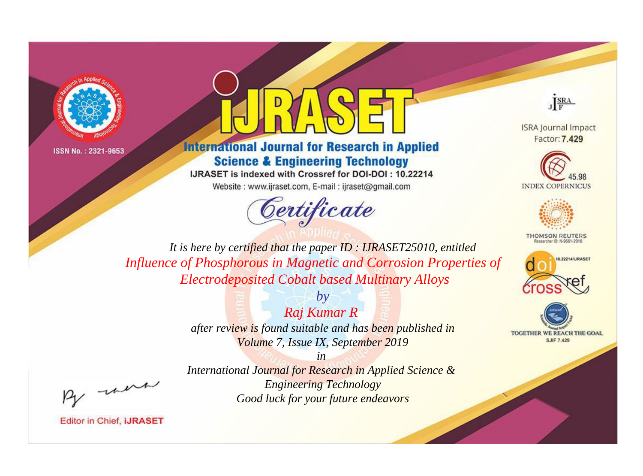



# **International Journal for Research in Applied Science & Engineering Technology**

IJRASET is indexed with Crossref for DOI-DOI: 10.22214 Website: www.ijraset.com, E-mail: ijraset@gmail.com



JERA

**ISRA Journal Impact** Factor: 7.429





**THOMSON REUTERS** 



TOGETHER WE REACH THE GOAL **SJIF 7.429** 

*It is here by certified that the paper ID : IJRASET25010, entitled Influence of Phosphorous in Magnetic and Corrosion Properties of Electrodeposited Cobalt based Multinary Alloys*

> *Raj Kumar R after review is found suitable and has been published in Volume 7, Issue IX, September 2019*

*by*

, un

*International Journal for Research in Applied Science & Engineering Technology Good luck for your future endeavors*

*in*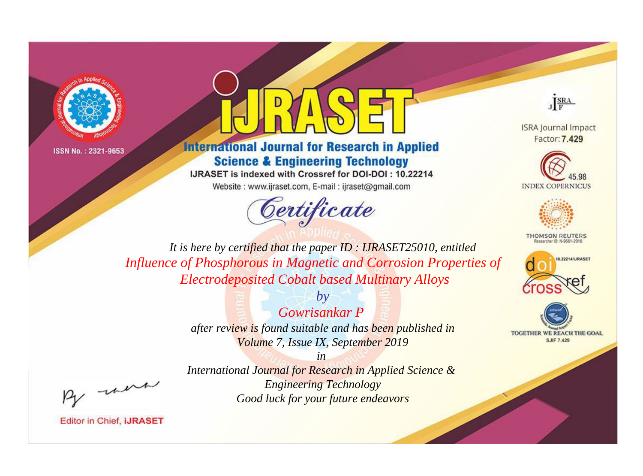



# **International Journal for Research in Applied Science & Engineering Technology**

IJRASET is indexed with Crossref for DOI-DOI: 10.22214 Website: www.ijraset.com, E-mail: ijraset@gmail.com



JERA

**ISRA Journal Impact** Factor: 7.429





**THOMSON REUTERS** 



TOGETHER WE REACH THE GOAL **SJIF 7.429** 

*It is here by certified that the paper ID : IJRASET25010, entitled Influence of Phosphorous in Magnetic and Corrosion Properties of Electrodeposited Cobalt based Multinary Alloys*

> *by Gowrisankar P after review is found suitable and has been published in Volume 7, Issue IX, September 2019*

, un

*International Journal for Research in Applied Science & Engineering Technology Good luck for your future endeavors*

*in*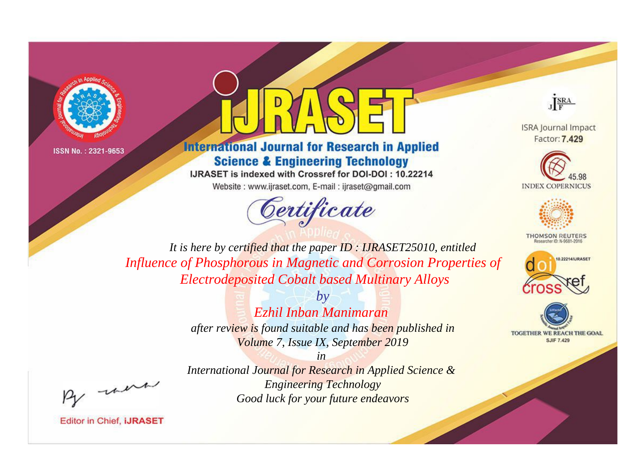



# **International Journal for Research in Applied Science & Engineering Technology**

IJRASET is indexed with Crossref for DOI-DOI: 10.22214 Website: www.ijraset.com, E-mail: ijraset@gmail.com



JERA

**ISRA Journal Impact** Factor: 7.429





**THOMSON REUTERS** 



TOGETHER WE REACH THE GOAL **SJIF 7.429** 

*It is here by certified that the paper ID : IJRASET25010, entitled Influence of Phosphorous in Magnetic and Corrosion Properties of Electrodeposited Cobalt based Multinary Alloys*

> *by Ezhil Inban Manimaran after review is found suitable and has been published in Volume 7, Issue IX, September 2019*

, un

*International Journal for Research in Applied Science & Engineering Technology Good luck for your future endeavors*

*in*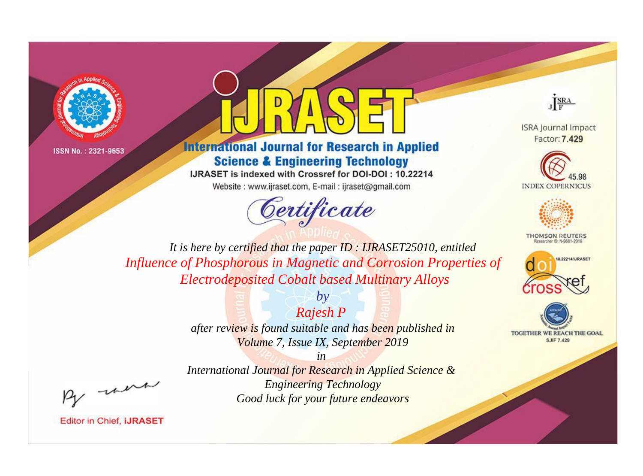



# **International Journal for Research in Applied Science & Engineering Technology**

IJRASET is indexed with Crossref for DOI-DOI: 10.22214

Website: www.ijraset.com, E-mail: ijraset@gmail.com



JERA

**ISRA Journal Impact** Factor: 7.429





**THOMSON REUTERS** 



TOGETHER WE REACH THE GOAL **SJIF 7.429** 

It is here by certified that the paper ID: IJRASET25010, entitled Influence of Phosphorous in Magnetic and Corrosion Properties of **Electrodeposited Cobalt based Multinary Alloys** 

> Rajesh P after review is found suitable and has been published in Volume 7, Issue IX, September 2019

 $b\nu$ 

were

International Journal for Research in Applied Science & **Engineering Technology** Good luck for your future endeavors

 $in$